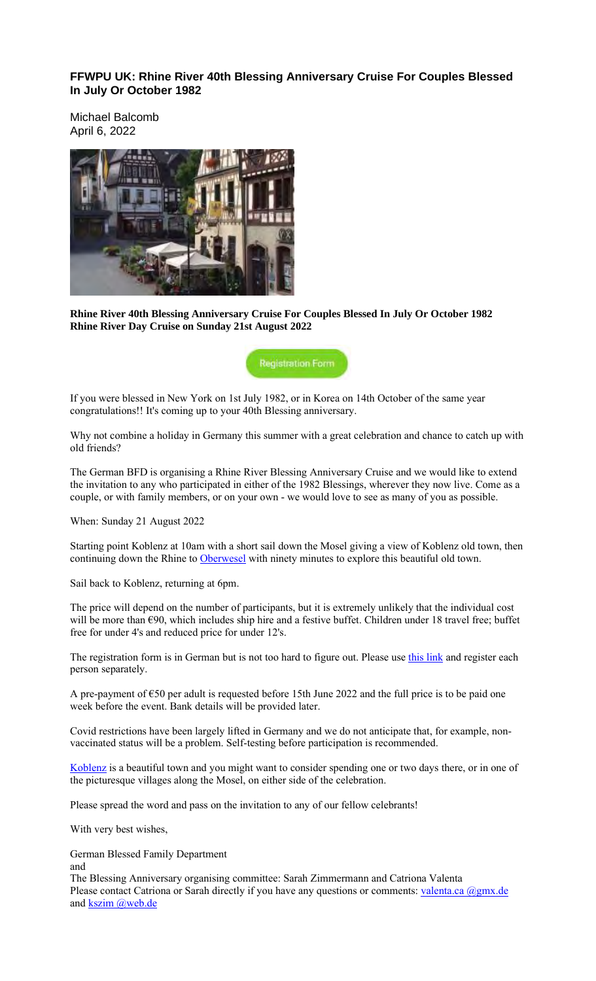**FFWPU UK: Rhine River 40th Blessing Anniversary Cruise For Couples Blessed In July Or October 1982**

Michael Balcomb April 6, 2022



**Rhine River 40th Blessing Anniversary Cruise For Couples Blessed In July Or October 1982 Rhine River Day Cruise on Sunday 21st August 2022**

**Registration Form** 

If you were blessed in New York on 1st July 1982, or in Korea on 14th October of the same year congratulations!! It's coming up to your 40th Blessing anniversary.

Why not combine a holiday in Germany this summer with a great celebration and chance to catch up with old friends?

The German BFD is organising a Rhine River Blessing Anniversary Cruise and we would like to extend the invitation to any who participated in either of the 1982 Blessings, wherever they now live. Come as a couple, or with family members, or on your own - we would love to see as many of you as possible.

When: Sunday 21 August 2022

Starting point Koblenz at 10am with a short sail down the Mosel giving a view of Koblenz old town, then continuing down the Rhine to Oberwesel with ninety minutes to explore this beautiful old town.

Sail back to Koblenz, returning at 6pm.

The price will depend on the number of participants, but it is extremely unlikely that the individual cost will be more than €90, which includes ship hire and a festive buffet. Children under 18 travel free; buffet free for under 4's and reduced price for under 12's.

The registration form is in German but is not too hard to figure out. Please use this link and register each person separately.

A pre-payment of €50 per adult is requested before 15th June 2022 and the full price is to be paid one week before the event. Bank details will be provided later.

Covid restrictions have been largely lifted in Germany and we do not anticipate that, for example, nonvaccinated status will be a problem. Self-testing before participation is recommended.

Koblenz is a beautiful town and you might want to consider spending one or two days there, or in one of the picturesque villages along the Mosel, on either side of the celebration.

Please spread the word and pass on the invitation to any of our fellow celebrants!

With very best wishes,

German Blessed Family Department

and The Blessing Anniversary organising committee: Sarah Zimmermann and Catriona Valenta Please contact Catriona or Sarah directly if you have any questions or comments: valenta.ca  $\omega_{\text{gmx.de}}$ and kszim @web.de